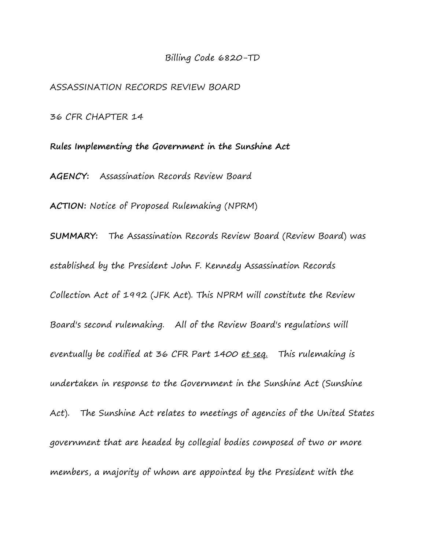#### Billing Code 6820-TD

ASSASSINATION RECORDS REVIEW BOARD

36 CFR CHAPTER 14

**Rules Implementing the Government in the Sunshine Act AGENCY:** Assassination Records Review Board **ACTION:** Notice of Proposed Rulemaking (NPRM) **SUMMARY:** The Assassination Records Review Board (Review Board) was established by the President John F. Kennedy Assassination Records Collection Act of 1992 (JFK Act). This NPRM will constitute the Review Board's second rulemaking. All of the Review Board's regulations will eventually be codified at 36 CFR Part 1400 et seq. This rulemaking is undertaken in response to the Government in the Sunshine Act (Sunshine Act). The Sunshine Act relates to meetings of agencies of the United States government that are headed by collegial bodies composed of two or more members, a majority of whom are appointed by the President with the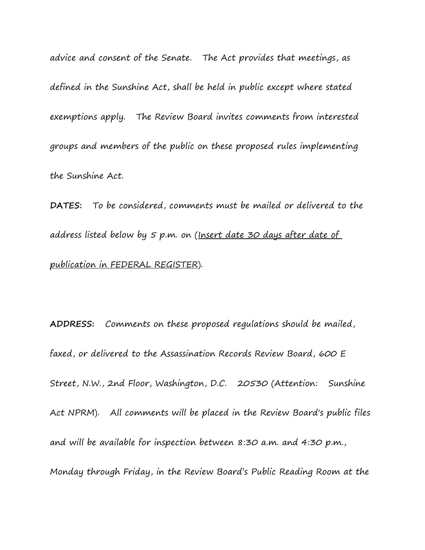advice and consent of the Senate. The Act provides that meetings, as defined in the Sunshine Act, shall be held in public except where stated exemptions apply. The Review Board invites comments from interested groups and members of the public on these proposed rules implementing the Sunshine Act.

**DATES:** To be considered, comments must be mailed or delivered to the address listed below by 5 p.m. on (Insert date 30 days after date of publication in FEDERAL REGISTER).

**ADDRESS:** Comments on these proposed regulations should be mailed, faxed, or delivered to the Assassination Records Review Board, 600 E Street, N.W., 2nd Floor, Washington, D.C. 20530 (Attention: Sunshine Act NPRM).All comments will be placed in the Review Board's public files and will be available for inspection between 8:30 a.m. and 4:30 p.m., Monday through Friday, in the Review Board's Public Reading Room at the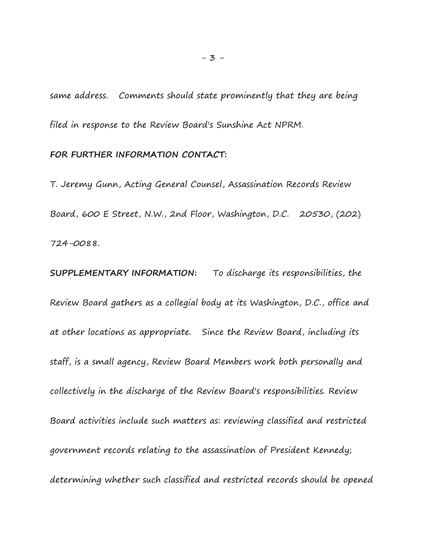same address. Comments should state prominently that they are being filed in response to the Review Board's Sunshine Act NPRM.

#### **FOR FURTHER INFORMATION CONTACT:**

T. Jeremy Gunn, Acting General Counsel, Assassination Records Review Board, 600 E Street, N.W., 2nd Floor, Washington, D.C. 20530, (202) 724-0088.

**SUPPLEMENTARY INFORMATION:** To discharge its responsibilities, the Review Board gathers as a collegial body at its Washington, D.C., office and at other locations as appropriate. Since the Review Board, including its staff, is a small agency, Review Board Members work both personally and collectively in the discharge of the Review Board's responsibilities. Review Board activities include such matters as: reviewing classified and restricted government records relating to the assassination of President Kennedy; determining whether such classified and restricted records should be opened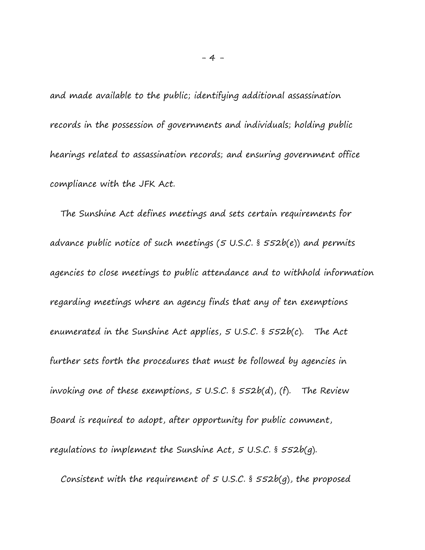and made available to the public; identifying additional assassination records in the possession of governments and individuals; holding public hearings related to assassination records; and ensuring government office compliance with the JFK Act.

 The Sunshine Act defines meetings and sets certain requirements for advance public notice of such meetings (5 U.S.C. § 552b(e)) and permits agencies to close meetings to public attendance and to withhold information regarding meetings where an agency finds that any of ten exemptions enumerated in the Sunshine Act applies, 5 U.S.C. § 552b(c). The Act further sets forth the procedures that must be followed by agencies in invoking one of these exemptions,  $5$  U.S.C. §  $552b(d)$ , (f). The Review Board is required to adopt, after opportunity for public comment, regulations to implement the Sunshine Act,  $5 \text{ U.S.C.}$  §  $552b(q)$ .

Consistent with the requirement of  $5$  U.S.C. §  $552b(q)$ , the proposed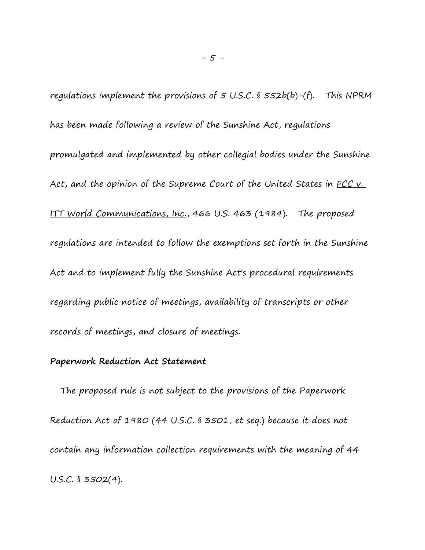regulations implement the provisions of  $5$  U.S.C. §  $552b(b)$ -(f). This NPRM has been made following a review of the Sunshine Act, regulations promulgated and implemented by other collegial bodies under the Sunshine Act, and the opinion of the Supreme Court of the United States in FCC v. ITT World Communications, Inc., 466 U.S. 463 (1984). The proposed regulations are intended to follow the exemptions set forth in the Sunshine Act and to implement fully the Sunshine Act's procedural requirements regarding public notice of meetings, availability of transcripts or other records of meetings, and closure of meetings.

## **Paperwork Reduction Act Statement**

 The proposed rule is not subject to the provisions of the Paperwork Reduction Act of 1980 (44 U.S.C. § 3501, et sea.) because it does not contain any information collection requirements with the meaning of 44 U.S.C. § 3502(4).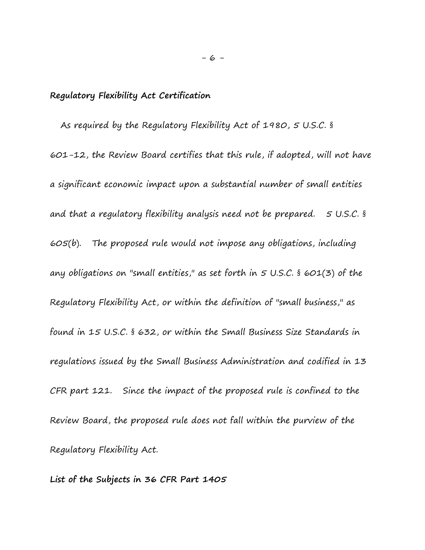## **Regulatory Flexibility Act Certification**

 As required by the Regulatory Flexibility Act of 1980, 5 U.S.C. § 601-12, the Review Board certifies that this rule, if adopted, will not have a significant economic impact upon a substantial number of small entities and that a regulatory flexibility analysis need not be prepared. 5 U.S.C. § 605(b). The proposed rule would not impose any obligations, including any obligations on "small entities," as set forth in  $5$  U.S.C. § 601(3) of the Regulatory Flexibility Act, or within the definition of "small business," as found in 15 U.S.C. § 632, or within the Small Business Size Standards in regulations issued by the Small Business Administration and codified in 13 CFR part 121. Since the impact of the proposed rule is confined to the Review Board, the proposed rule does not fall within the purview of the Regulatory Flexibility Act.

**List of the Subjects in 36 CFR Part 1405**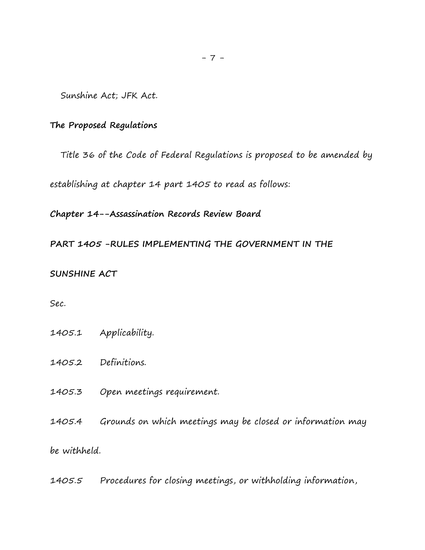Sunshine Act; JFK Act.

## **The Proposed Regulations**

Title 36 of the Code of Federal Regulations is proposed to be amended by

establishing at chapter 14 part 1405 to read as follows:

**Chapter 14--Assassination Records Review Board**

**PART 1405 -RULES IMPLEMENTING THE GOVERNMENT IN THE** 

#### **SUNSHINE ACT**

Sec.

- 1405.1 Applicability.
- 1405.2 Definitions.
- 1405.3 Open meetings requirement.

1405.4 Grounds on which meetings may be closed or information may be withheld.

1405.5 Procedures for closing meetings, or withholding information,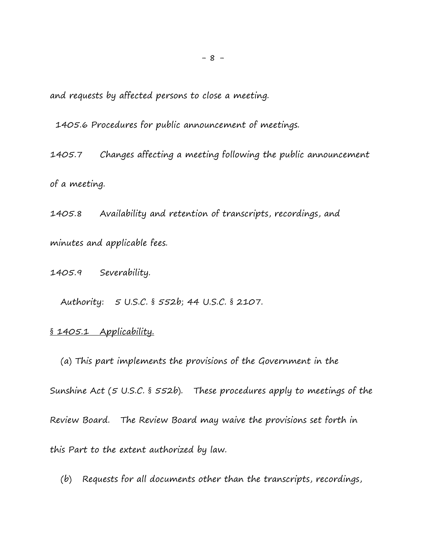and requests by affected persons to close a meeting.

1405.6 Procedures for public announcement of meetings.

1405.7 Changes affecting a meeting following the public announcement of a meeting.

1405.8 Availability and retention of transcripts, recordings, and minutes and applicable fees.

1405.9 Severability.

Authority: 5 U.S.C. § 552b; 44 U.S.C. § 2107.

#### § 1405.1 Applicability.

 (a) This part implements the provisions of the Government in the Sunshine Act (5 U.S.C. § 552b). These procedures apply to meetings of the Review Board. The Review Board may waive the provisions set forth in this Part to the extent authorized by law.

(b) Requests for all documents other than the transcripts, recordings,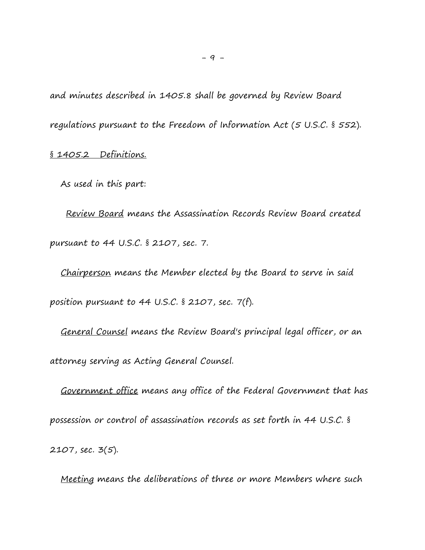and minutes described in 1405.8 shall be governed by Review Board regulations pursuant to the Freedom of Information Act (5 U.S.C. § 552).

# § 1405.2 Definitions.

As used in this part:

 Review Board means the Assassination Records Review Board created pursuant to 44 U.S.C. § 2107, sec. 7.

 Chairperson means the Member elected by the Board to serve in said position pursuant to 44 U.S.C. § 2107, sec. 7(f).

 General Counsel means the Review Board's principal legal officer, or an attorney serving as Acting General Counsel.

 Government office means any office of the Federal Government that has possession or control of assassination records as set forth in 44 U.S.C. § 2107, sec. 3(5).

Meeting means the deliberations of three or more Members where such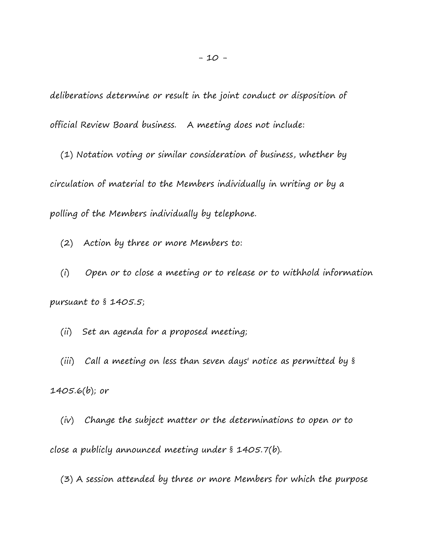deliberations determine or result in the joint conduct or disposition of official Review Board business. A meeting does not include:

 (1) Notation voting or similar consideration of business, whether by circulation of material to the Members individually in writing or by a polling of the Members individually by telephone.

(2) Action by three or more Members to:

 (i) Open or to close a meeting or to release or to withhold information pursuant to § 1405.5;

(ii) Set an agenda for a proposed meeting;

 (iii) Call a meeting on less than seven days' notice as permitted by § 1405.6(b); or

 (iv) Change the subject matter or the determinations to open or to close a publicly announced meeting under § 1405.7(b).

(3) A session attended by three or more Members for which the purpose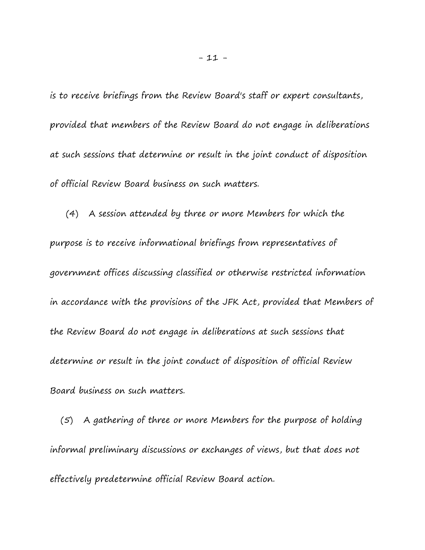is to receive briefings from the Review Board's staff or expert consultants, provided that members of the Review Board do not engage in deliberations at such sessions that determine or result in the joint conduct of disposition of official Review Board business on such matters.

 (4) A session attended by three or more Members for which the purpose is to receive informational briefings from representatives of government offices discussing classified or otherwise restricted information in accordance with the provisions of the JFK Act, provided that Members of the Review Board do not engage in deliberations at such sessions that determine or result in the joint conduct of disposition of official Review Board business on such matters.

 (5) A gathering of three or more Members for the purpose of holding informal preliminary discussions or exchanges of views, but that does not effectively predetermine official Review Board action.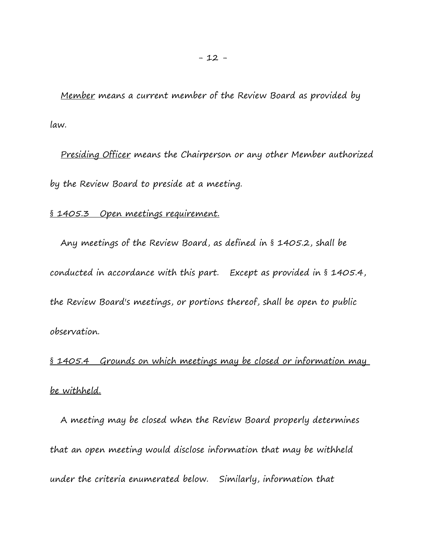Member means a current member of the Review Board as provided by law.

 Presiding Officer means the Chairperson or any other Member authorized by the Review Board to preside at a meeting.

#### § 1405.3 Open meetings requirement.

 Any meetings of the Review Board, as defined in § 1405.2, shall be conducted in accordance with this part. Except as provided in § 1405.4, the Review Board's meetings, or portions thereof, shall be open to public observation.

§ 1405.4 Grounds on which meetings may be closed or information may be withheld.

 A meeting may be closed when the Review Board properly determines that an open meeting would disclose information that may be withheld under the criteria enumerated below. Similarly, information that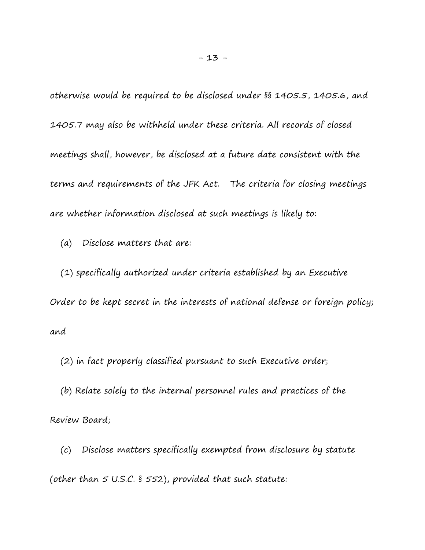otherwise would be required to be disclosed under §§ 1405.5, 1405.6, and 1405.7 may also be withheld under these criteria. All records of closed meetings shall, however, be disclosed at a future date consistent with the terms and requirements of the JFK Act. The criteria for closing meetings are whether information disclosed at such meetings is likely to:

(a) Disclose matters that are:

 (1) specifically authorized under criteria established by an Executive Order to be kept secret in the interests of national defense or foreign policy; and

(2) in fact properly classified pursuant to such Executive order;

 (b) Relate solely to the internal personnel rules and practices of the Review Board;

 (c) Disclose matters specifically exempted from disclosure by statute (other than 5 U.S.C. § 552), provided that such statute: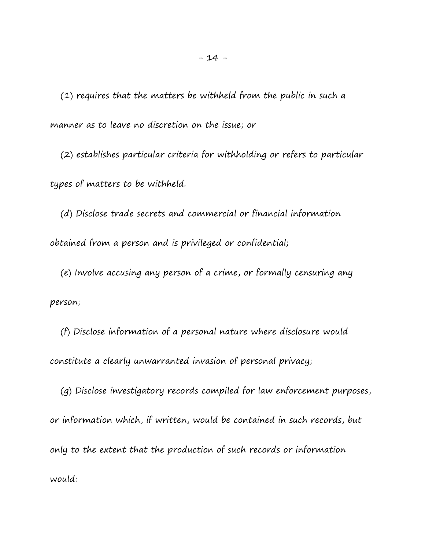(1) requires that the matters be withheld from the public in such a manner as to leave no discretion on the issue; or

 (2) establishes particular criteria for withholding or refers to particular types of matters to be withheld.

 (d) Disclose trade secrets and commercial or financial information obtained from a person and is privileged or confidential;

 (e) Involve accusing any person of a crime, or formally censuring any person;

 (f) Disclose information of a personal nature where disclosure would constitute a clearly unwarranted invasion of personal privacy;

 (g) Disclose investigatory records compiled for law enforcement purposes, or information which, if written, would be contained in such records, but only to the extent that the production of such records or information would: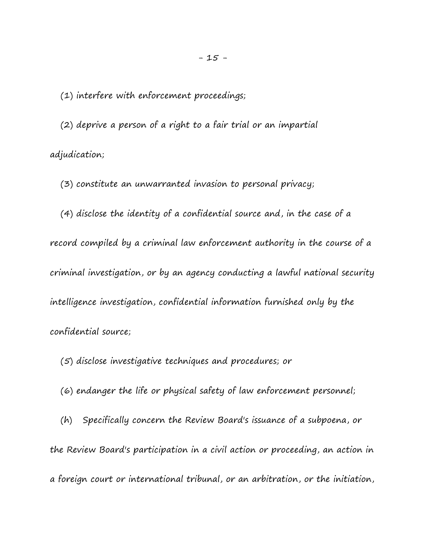(1) interfere with enforcement proceedings;

 (2) deprive a person of a right to a fair trial or an impartial adjudication;

(3) constitute an unwarranted invasion to personal privacy;

 (4) disclose the identity of a confidential source and, in the case of a record compiled by a criminal law enforcement authority in the course of a criminal investigation, or by an agency conducting a lawful national security intelligence investigation, confidential information furnished only by the confidential source;

(5) disclose investigative techniques and procedures; or

(6) endanger the life or physical safety of law enforcement personnel;

 (h) Specifically concern the Review Board's issuance of a subpoena, or the Review Board's participation in a civil action or proceeding, an action in a foreign court or international tribunal, or an arbitration, or the initiation,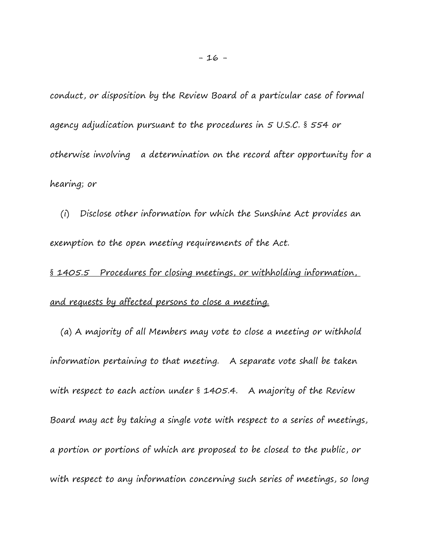conduct, or disposition by the Review Board of a particular case of formal agency adjudication pursuant to the procedures in 5 U.S.C. § 554 or otherwise involving a determination on the record after opportunity for a hearing; or

 (i) Disclose other information for which the Sunshine Act provides an exemption to the open meeting requirements of the Act.

§ 1405.5 Procedures for closing meetings, or withholding information, and requests by affected persons to close a meeting.

 (a) A majority of all Members may vote to close a meeting or withhold information pertaining to that meeting. A separate vote shall be taken with respect to each action under § 1405.4. A majority of the Review Board may act by taking a single vote with respect to a series of meetings, a portion or portions of which are proposed to be closed to the public, or with respect to any information concerning such series of meetings, so long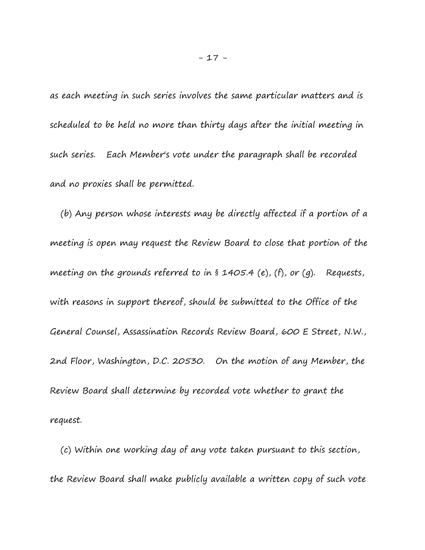as each meeting in such series involves the same particular matters and is scheduled to be held no more than thirty days after the initial meeting in such series. Each Member's vote under the paragraph shall be recorded and no proxies shall be permitted.

 (b) Any person whose interests may be directly affected if a portion of a meeting is open may request the Review Board to close that portion of the meeting on the grounds referred to in § 1405.4 (e), (f), or (g). Requests, with reasons in support thereof, should be submitted to the Office of the General Counsel, Assassination Records Review Board, 600 E Street, N.W., 2nd Floor, Washington, D.C. 20530. On the motion of any Member, the Review Board shall determine by recorded vote whether to grant the request.

 (c) Within one working day of any vote taken pursuant to this section, the Review Board shall make publicly available a written copy of such vote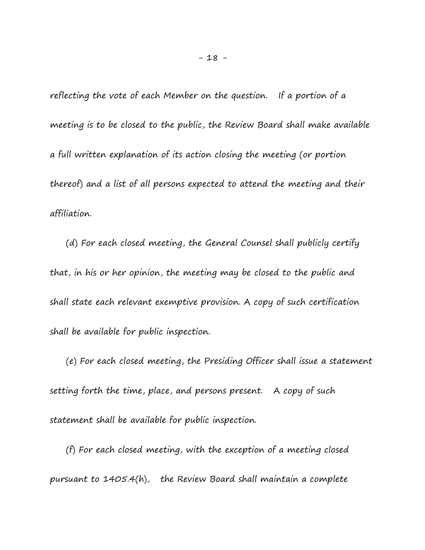reflecting the vote of each Member on the question. If a portion of a meeting is to be closed to the public, the Review Board shall make available a full written explanation of its action closing the meeting (or portion thereof) and a list of all persons expected to attend the meeting and their affiliation.

 (d) For each closed meeting, the General Counsel shall publicly certify that, in his or her opinion, the meeting may be closed to the public and shall state each relevant exemptive provision. A copy of such certification shall be available for public inspection.

 (e) For each closed meeting, the Presiding Officer shall issue a statement setting forth the time, place, and persons present. A copy of such statement shall be available for public inspection.

 (f) For each closed meeting, with the exception of a meeting closed pursuant to 1405.4(h), the Review Board shall maintain a complete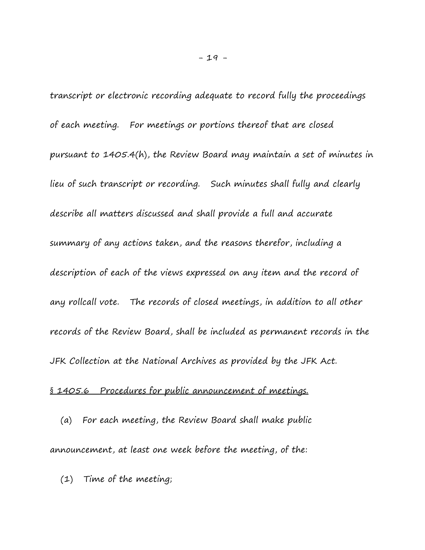transcript or electronic recording adequate to record fully the proceedings of each meeting. For meetings or portions thereof that are closed pursuant to 1405.4(h), the Review Board may maintain a set of minutes in lieu of such transcript or recording. Such minutes shall fully and clearly describe all matters discussed and shall provide a full and accurate summary of any actions taken, and the reasons therefor, including a description of each of the views expressed on any item and the record of any rollcall vote. The records of closed meetings, in addition to all other records of the Review Board, shall be included as permanent records in the JFK Collection at the National Archives as provided by the JFK Act.

## § 1405.6 Procedures for public announcement of meetings.

 (a) For each meeting, the Review Board shall make public announcement, at least one week before the meeting, of the:

(1) Time of the meeting;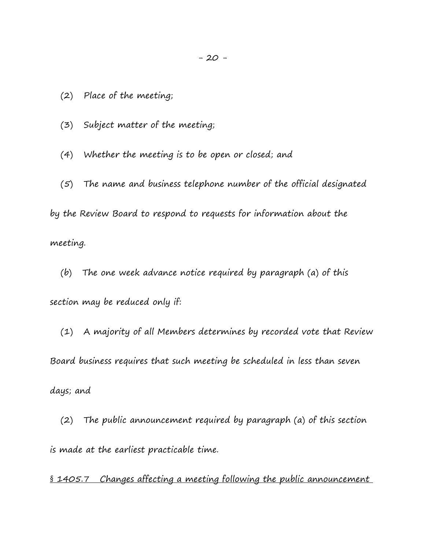(2) Place of the meeting;

(3) Subject matter of the meeting;

(4) Whether the meeting is to be open or closed; and

 (5) The name and business telephone number of the official designated by the Review Board to respond to requests for information about the meeting.

 (b) The one week advance notice required by paragraph (a) of this section may be reduced only if:

 (1) A majority of all Members determines by recorded vote that Review Board business requires that such meeting be scheduled in less than seven days; and

 (2) The public announcement required by paragraph (a) of this section is made at the earliest practicable time.

§ 1405.7 Changes affecting a meeting following the public announcement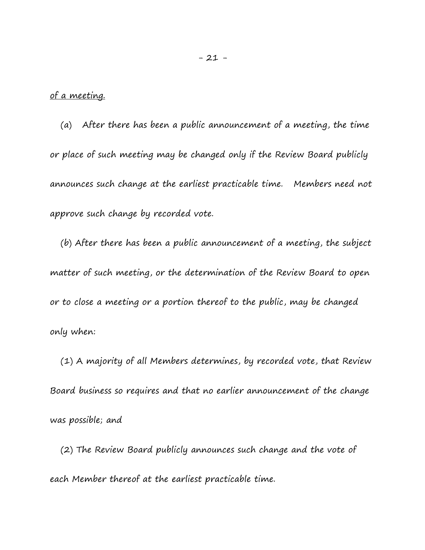### of a meeting.

 (a) After there has been a public announcement of a meeting, the time or place of such meeting may be changed only if the Review Board publicly announces such change at the earliest practicable time. Members need not approve such change by recorded vote.

 (b) After there has been a public announcement of a meeting, the subject matter of such meeting, or the determination of the Review Board to open or to close a meeting or a portion thereof to the public, may be changed only when:

 (1) A majority of all Members determines, by recorded vote, that Review Board business so requires and that no earlier announcement of the change was possible; and

 (2) The Review Board publicly announces such change and the vote of each Member thereof at the earliest practicable time.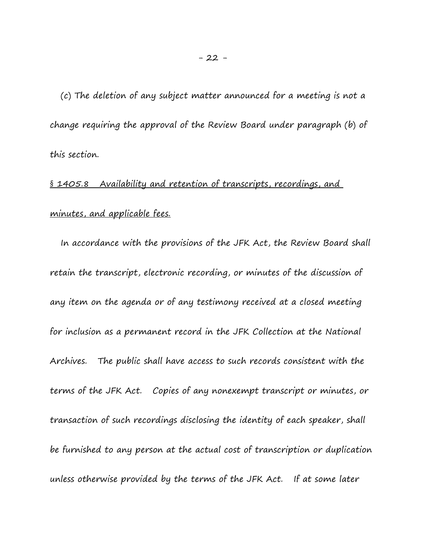(c) The deletion of any subject matter announced for a meeting is not a change requiring the approval of the Review Board under paragraph (b) of this section.

# § 1405.8 Availability and retention of transcripts, recordings, and minutes, and applicable fees.

 In accordance with the provisions of the JFK Act, the Review Board shall retain the transcript, electronic recording, or minutes of the discussion of any item on the agenda or of any testimony received at a closed meeting for inclusion as a permanent record in the JFK Collection at the National Archives. The public shall have access to such records consistent with the terms of the JFK Act. Copies of any nonexempt transcript or minutes, or transaction of such recordings disclosing the identity of each speaker, shall be furnished to any person at the actual cost of transcription or duplication unless otherwise provided by the terms of the JFK Act. If at some later